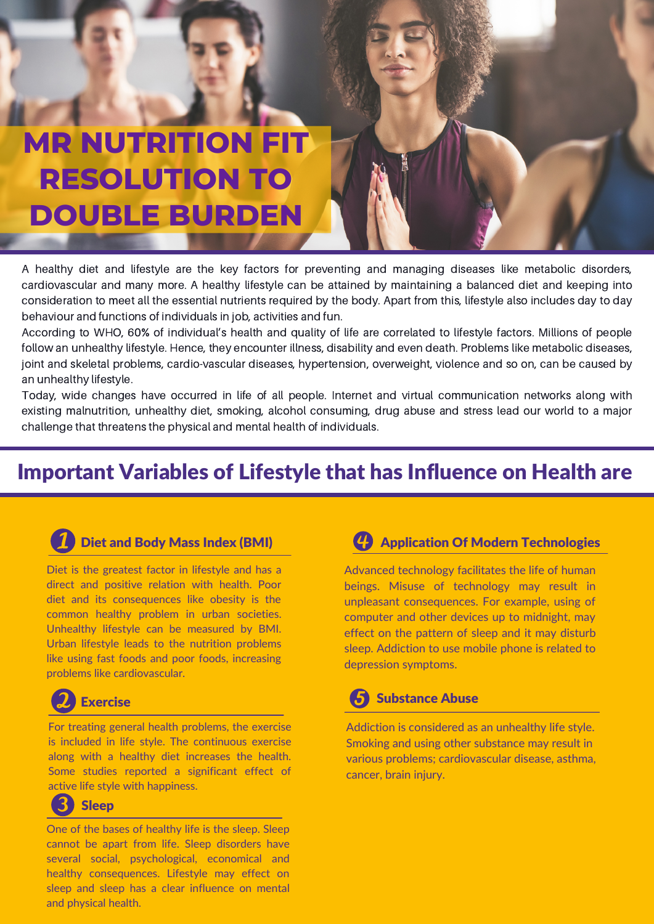## **MR NUTRITION FIT RESOLUTION TO DOUBLE BURDEN**

A healthy diet and lifestyle are the key factors for preventing and managing diseases like metabolic disorders, cardiovascular and many more. A healthy lifestyle can be attained by maintaining a [balanced](https://www.narayanahealth.org/blog/how-to-maintain-a-balanced-diet/) diet and keeping into consideration to meet all the essential nutrients required by the body. Apart from this, lifestyle also includes day to day behaviour and functions of individuals in job, activities and fun.

According to WHO, 60% of individual's health and quality of life are correlated to lifestyle factors. Millions of people follow an unhealthy lifestyle. Hence, they encounter illness, disability and even death. Problems like metabolic diseases, joint and skeletal problems, cardio-vascular diseases, hypertension, overweight, violence and so on, can be caused by an unhealthy lifestyle.

Today, wide changes have occurred in life of all people. Internet and virtual communication networks along with existing malnutrition, unhealthy diet, smoking, alcohol consuming, drug abuse and stress lead our world to a major challenge that threatens the physical and mental health of individuals.

## Important Variables of Lifestyle that has Influence on Health are



### Diet and Body Mass Index (BMI)

Diet is the greatest factor in lifestyle and has a direct and positive relation with health. Poor diet and its consequences like obesity is the common healthy problem in urban societies. Unhealthy lifestyle can be measured by BMI. Urban lifestyle leads to the nutrition problems like using fast foods and poor foods, increasing problems like cardiovascular.

## Exercise

For treating general health problems, the exercise is included in life style. The continuous exercise along with a healthy diet increases the health. Some studies reported a significant effect of active life style with happiness.

#### R Sleep

One of the bases of healthy life is the sleep. Sleep cannot be apart from life. Sleep disorders have several social, psychological, economical and healthy consequences. Lifestyle may effect on sleep and sleep has a clear influence on mental and physical health.

### Application Of Modern Technologies

Advanced technology facilitates the life of human beings. Misuse of technology may result in unpleasant consequences. For example, using of computer and other devices up to midnight, may effect on the pattern of sleep and it may disturb sleep. Addiction to use mobile phone is related to depression symptoms.

#### Substance Abuse 5

Addiction is considered as an unhealthy life style. Smoking and using other substance may result in various problems; cardiovascular disease, asthma, cancer, brain injury.